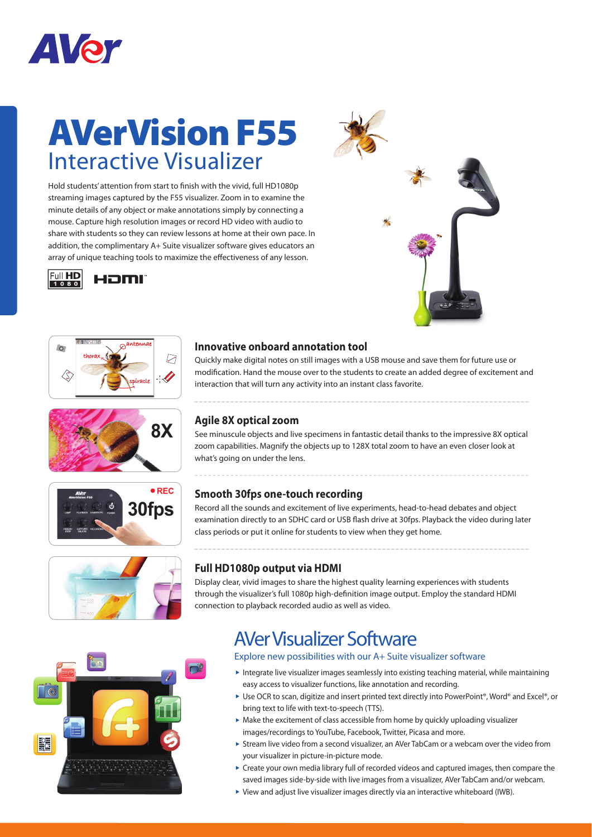

# **AVerVision F55** Interactive Visualizer

Hold students' attention from start to finish with the vivid, full HD1080p streaming images captured by the F55 visualizer. Zoom in to examine the minute details of any object or make annotations simply by connecting a mouse. Capture high resolution images or record HD video with audio to share with students so they can review lessons at home at their own pace. In addition, the complimentary A+ Suite visualizer software gives educators an array of unique teaching tools to maximize the effectiveness of any lesson.













### **Innovative onboard annotation tool**

Quickly make digital notes on still images with a USB mouse and save them for future use or modification. Hand the mouse over to the students to create an added degree of excitement and interaction that will turn any activity into an instant class favorite.

#### **Agile 8X optical zoom**

See minuscule objects and live specimens in fantastic detail thanks to the impressive 8X optical zoom capabilities. Magnify the objects up to 128X total zoom to have an even closer look at what's going on under the lens.

### **Smooth 30fps one-touch recording**

Record all the sounds and excitement of live experiments, head-to-head debates and object examination directly to an SDHC card or USB flash drive at 30fps. Playback the video during later class periods or put it online for students to view when they get home.

## **Full HD1080p output via HDMI**

Display clear, vivid images to share the highest quality learning experiences with students through the visualizer's full 1080p high-definition image output. Employ the standard HDMI connection to playback recorded audio as well as video.

# AVer Visualizer Software

#### Explore new possibilities with our A+ Suite visualizer software

- $\blacktriangleright$  Integrate live visualizer images seamlessly into existing teaching material, while maintaining easy access to visualizer functions, like annotation and recording.
- ▶ Use OCR to scan, digitize and insert printed text directly into PowerPoint®, Word® and Excel®, or bring text to life with text-to-speech (TTS).
- $\triangleright$  Make the excitement of class accessible from home by quickly uploading visualizer images/recordings to YouTube, Facebook, Twitter, Picasa and more.
- Stream live video from a second visualizer, an AVer TabCam or a webcam over the video from your visualizer in picture-in-picture mode.
- Create your own media library full of recorded videos and captured images, then compare the saved images side-by-side with live images from a visualizer, AVer TabCam and/or webcam.
- View and adjust live visualizer images directly via an interactive whiteboard (IWB).